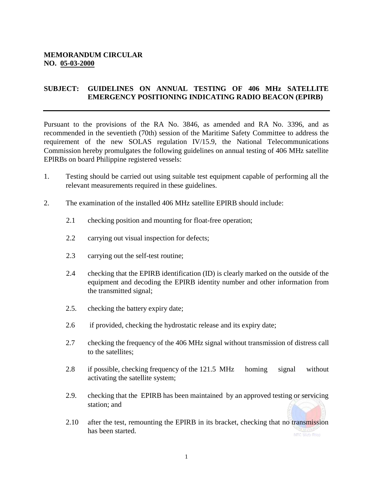## **MEMORANDUM CIRCULAR NO. 05-03-2000**

## **SUBJECT: GUIDELINES ON ANNUAL TESTING OF 406 MHz SATELLITE EMERGENCY POSITIONING INDICATING RADIO BEACON (EPIRB)**

Pursuant to the provisions of the RA No. 3846, as amended and RA No. 3396, and as recommended in the seventieth (70th) session of the Maritime Safety Committee to address the requirement of the new SOLAS regulation IV/15.9, the National Telecommunications Commission hereby promulgates the following guidelines on annual testing of 406 MHz satellite EPlRBs on board Philippine registered vessels:

- 1. Testing should be carried out using suitable test equipment capable of performing all the relevant measurements required in these guidelines.
- 2. The examination of the installed 406 MHz satellite EPIRB should include:
	- 2.1 checking position and mounting for float-free operation;
	- 2.2 carrying out visual inspection for defects;
	- 2.3 carrying out the self-test routine;
	- 2.4 checking that the EPIRB identification (ID) is clearly marked on the outside of the equipment and decoding the EPIRB identity number and other information from the transmitted signal;
	- 2.5. checking the battery expiry date;
	- 2.6 if provided, checking the hydrostatic release and its expiry date;
	- 2.7 checking the frequency of the 406 MHz signal without transmission of distress call to the satellites;
	- 2.8 if possible, checking frequency of the 121.5 MHz homing signal without activating the satellite system;
	- 2.9. checking that the EPIRB has been maintained by an approved testing or servicing station; and
	- 2.10 after the test, remounting the EPIRB in its bracket, checking that no transmission has been started.